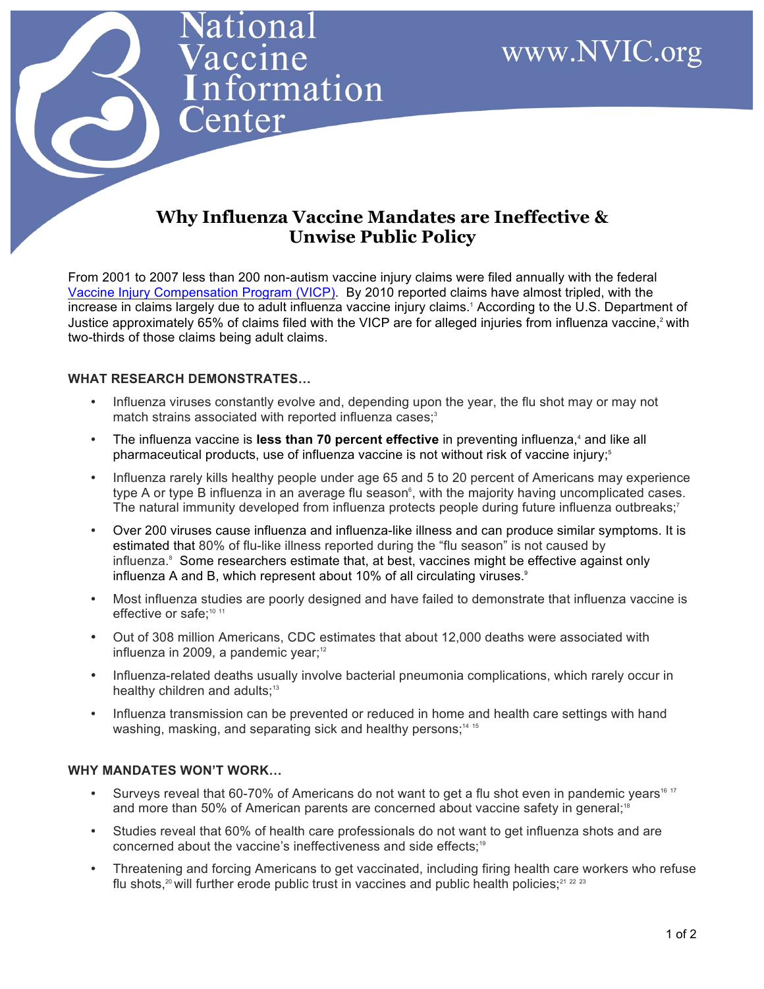# **Why Influenza Vaccine Mandates are Ineffective & Unwise Public Policy**

From 2001 to 2007 less than 200 non-autism vaccine injury claims were filed annually with the federal [Vaccine Injury Compensation Program \(VICP\).](http://www.hrsa.gov/vaccinecompensation/index.html) By 2010 reported claims have almost tripled, with the increase in claims largely due to adult influenza vaccine injury claims.1 According to the U.S. Department of Justice approximately 65% of claims filed with the VICP are for alleged injuries from influenza vaccine,<sup>2</sup> with two-thirds of those claims being adult claims.

## **WHAT RESEARCH DEMONSTRATES…**

ationa

accine

enter

nformation

- Influenza viruses constantly evolve and, depending upon the year, the flu shot may or may not match strains associated with reported influenza cases;<sup>3</sup>
- The influenza vaccine is less than 70 percent effective in preventing influenza,<sup>4</sup> and like all pharmaceutical products, use of influenza vaccine is not without risk of vaccine injury;<sup>5</sup>
- Influenza rarely kills healthy people under age 65 and 5 to 20 percent of Americans may experience type A or type B influenza in an average flu season<sup>6</sup>, with the majority having uncomplicated cases. The natural immunity developed from influenza protects people during future influenza outbreaks;<sup>7</sup>
- Over 200 viruses cause influenza and influenza-like illness and can produce similar symptoms. It is estimated that 80% of flu-like illness reported during the "flu season" is not caused by influenza. $8$  Some researchers estimate that, at best, vaccines might be effective against only influenza A and B, which represent about 10% of all circulating viruses.<sup>9</sup>
- Most influenza studies are poorly designed and have failed to demonstrate that influenza vaccine is effective or safe:<sup>10 11</sup>
- Out of 308 million Americans, CDC estimates that about 12,000 deaths were associated with influenza in 2009, a pandemic year;<sup>12</sup>
- Influenza-related deaths usually involve bacterial pneumonia complications, which rarely occur in healthy children and adults;<sup>13</sup>
- Influenza transmission can be prevented or reduced in home and health care settings with hand washing, masking, and separating sick and healthy persons;<sup>14-15</sup>

## **WHY MANDATES WON'T WORK…**

- Surveys reveal that 60-70% of Americans do not want to get a flu shot even in pandemic years<sup>16 17</sup> and more than 50% of American parents are concerned about vaccine safety in general;<sup>18</sup>
- Studies reveal that 60% of health care professionals do not want to get influenza shots and are concerned about the vaccine's ineffectiveness and side effects;<sup>19</sup>
- Threatening and forcing Americans to get vaccinated, including firing health care workers who refuse flu shots,<sup>20</sup> will further erode public trust in vaccines and public health policies;<sup>21</sup> 22 23